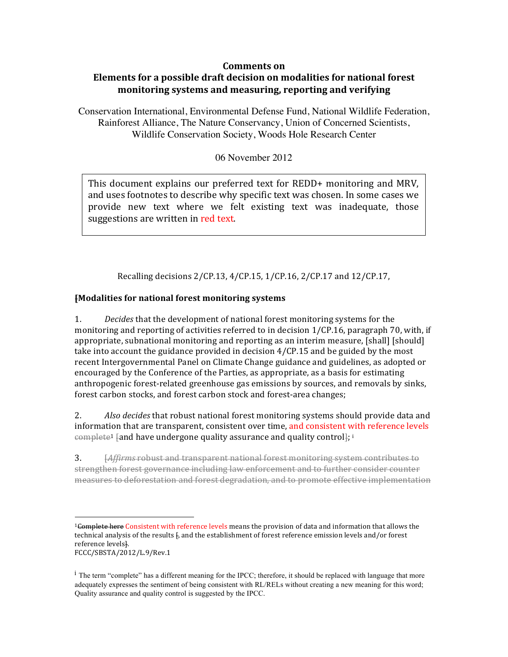## **Comments** on

## **Elements for a possible draft decision on modalities for national forest monitoring systems and measuring, reporting and verifying**

Conservation International, Environmental Defense Fund, National Wildlife Federation, Rainforest Alliance, The Nature Conservancy, Union of Concerned Scientists, Wildlife Conservation Society, Woods Hole Research Center

06 November 2012

This document explains our preferred text for REDD+ monitoring and MRV, and uses footnotes to describe why specific text was chosen. In some cases we provide new text where we felt existing text was inadequate, those suggestions are written in red text.

Recalling decisions 2/CP.13, 4/CP.15, 1/CP.16, 2/CP.17 and 12/CP.17,

## **[Modalities for national forest monitoring systems**

 

1. *Decides* that the development of national forest monitoring systems for the monitoring and reporting of activities referred to in decision  $1/CP.16$ , paragraph 70, with, if appropriate, subnational monitoring and reporting as an interim measure, [shall] [should] take into account the guidance provided in decision  $4/CP.15$  and be guided by the most recent Intergovernmental Panel on Climate Change guidance and guidelines, as adopted or encouraged by the Conference of the Parties, as appropriate, as a basis for estimating anthropogenic forest-related greenhouse gas emissions by sources, and removals by sinks, forest carbon stocks, and forest carbon stock and forest-area changes;

2. *Also decides* that robust national forest monitoring systems should provide data and information that are transparent, consistent over time, and consistent with reference levels  $\epsilon$ omplete<sup>1</sup> [and have undergone quality assurance and quality control]; i

3. *Affirms* robust and transparent national forest monitoring system contributes to strengthen forest governance including law enforcement and to further consider counter measures to deforestation and forest degradation, and to promote effective implementation

<sup>&</sup>lt;sup>1</sup>Complete here Consistent with reference levels means the provision of data and information that allows the technical analysis of the results  $\mathbf{f}$ , and the establishment of forest reference emission levels and/or forest reference levels]. FCCC/SBSTA/2012/L.9/Rev.1 

 $\frac{1}{1}$  The term "complete" has a different meaning for the IPCC; therefore, it should be replaced with language that more adequately expresses the sentiment of being consistent with RL/RELs without creating a new meaning for this word; Quality assurance and quality control is suggested by the IPCC.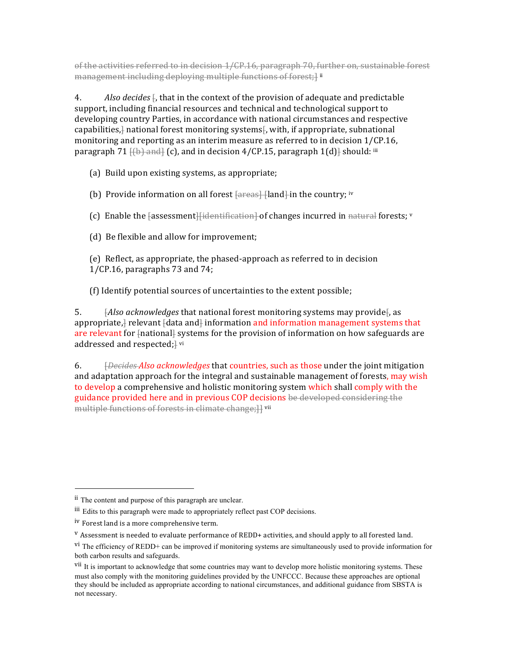of the activities referred to in decision 1/CP.16, paragraph 70, further on, sustainable forest management including deploying multiple functions of forest;] ii

4. *Also decides*  $\frac{1}{6}$ , that in the context of the provision of adequate and predictable support, including financial resources and technical and technological support to developing country Parties, in accordance with national circumstances and respective capabilities, $\frac{1}{l}$  national forest monitoring systems $\frac{1}{l}$ , with, if appropriate, subnational monitoring and reporting as an interim measure as referred to in decision  $1/CP.16$ , paragraph  $71$   $\{(\uparrow)\}$  and  $\}$  (c), and in decision 4/CP.15, paragraph  $1(d)$ } should: iii

(a) Build upon existing systems, as appropriate;

(b) Provide information on all forest  $\frac{1}{\sqrt{2}}$  [and] in the country; iv

(c) Enable the  $f$ assessment $\left| \right|$  identification $\left| \right|$  of changes incurred in natural forests; v

(d) Be flexible and allow for improvement;

(e) Reflect, as appropriate, the phased-approach as referred to in decision  $1$ /CP.16, paragraphs 73 and 74;

(f) Identify potential sources of uncertainties to the extent possible;

5. *Also acknowledges* that national forest monitoring systems may providef, as appropriate, $\frac{1}{1}$  relevant  $\frac{1}{1}$  data and $\frac{1}{1}$  information and information management systems that are relevant for  $\{$ national $\}$  systems for the provision of information on how safeguards are addressed and respected;<sup>1</sup> vi

6. *<u>Ebecides Also acknowledges</u>* that countries, such as those under the joint mitigation and adaptation approach for the integral and sustainable management of forests, may wish to develop a comprehensive and holistic monitoring system which shall comply with the guidance provided here and in previous COP decisions be developed considering the multiple functions of forests in climate change; H vii

ii The content and purpose of this paragraph are unclear.

iii Edits to this paragraph were made to appropriately reflect past COP decisions.

iv Forest land is a more comprehensive term.

<sup>&</sup>lt;sup>v</sup> Assessment is needed to evaluate performance of REDD+ activities, and should apply to all forested land.

 $\overline{v}$ <sup>I</sup>. The efficiency of REDD+ can be improved if monitoring systems are simultaneously used to provide information for both carbon results and safeguards.

<sup>&</sup>lt;sup>VII</sup> It is important to acknowledge that some countries may want to develop more holistic monitoring systems. These must also comply with the monitoring guidelines provided by the UNFCCC. Because these approaches are optional they should be included as appropriate according to national circumstances, and additional guidance from SBSTA is not necessary.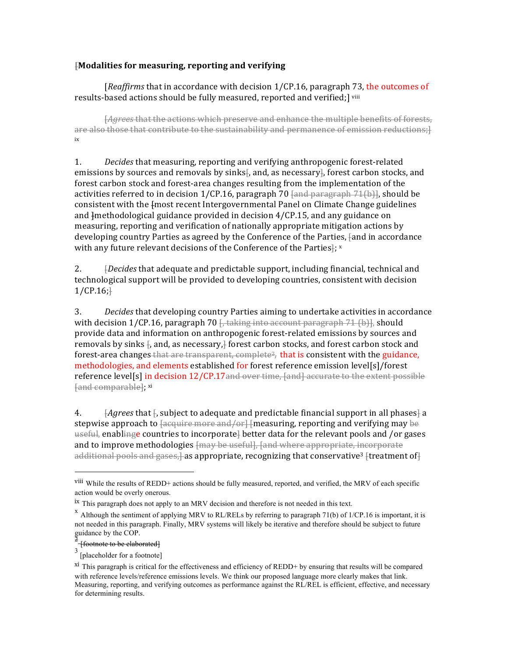## **[Modalities for measuring, reporting and verifying**

[*Reaffirms* that in accordance with decision 1/CP.16, paragraph 73, the outcomes of results-based actions should be fully measured, reported and verified;] viii

[*Agrees* that the actions which preserve and enhance the multiple benefits of forests, are also those that contribute to the sustainability and permanence of emission reductions; l ix

1. *Decides* that measuring, reporting and verifying anthropogenic forest-related emissions by sources and removals by sinks. and, as necessary, forest carbon stocks, and forest carbon stock and forest-area changes resulting from the implementation of the activities referred to in decision  $1/CP.16$ , paragraph  $70 \text{ and }$  paragraph  $71(b)$ , should be consistent with the  $f$ most recent Intergovernmental Panel on Climate Change guidelines and  $\frac{1}{2}$  methodological guidance provided in decision  $\frac{4}{C}$ . And any guidance on measuring, reporting and verification of nationally appropriate mitigation actions by developing country Parties as agreed by the Conference of the Parties, fand in accordance with any future relevant decisions of the Conference of the Parties $\frac{1}{2}$ ; x

2. *[Decides* that adequate and predictable support, including financial, technical and technological support will be provided to developing countries, consistent with decision  $1/CP.16$ ;

3. *Decides* that developing country Parties aiming to undertake activities in accordance with decision  $1/CP.16$ , paragraph  $70 \frac{1}{16}$ , taking into account paragraph  $71$  (b)], should provide data and information on anthropogenic forest-related emissions by sources and removals by sinks  $\frac{1}{2}$ , and, as necessary, $\frac{1}{2}$  forest carbon stocks, and forest carbon stock and forest-area changes that are transparent, complete<sup>2</sup>, that is consistent with the guidance, methodologies, and elements established for forest reference emission level[s]/forest reference  $level[s]$  in decision  $12/CP.17$  and over time, [and] accurate to the extent possible [and comparable]; xi

4.  $\overline{A}$ *Agrees* that  $\overline{A}$ , subject to adequate and predictable financial support in all phases  $\overline{A}$  a stepwise approach to  $\frac{1}{\text{degree and/or}}$  [measuring, reporting and verifying may be useful, enablinge countries to incorporate better data for the relevant pools and /or gases and to improve methodologies  $\{$ may be useful], [and where appropriate, incorporate additional pools and gases, as appropriate, recognizing that conservative<sup>3</sup> [treatment of]

viii While the results of REDD+ actions should be fully measured, reported, and verified, the MRV of each specific action would be overly onerous.

 $i$ <sup>x</sup> This paragraph does not apply to an MRV decision and therefore is not needed in this text.

 $^{\text{x}}$  Although the sentiment of applying MRV to RL/RELs by referring to paragraph 71(b) of 1/CP.16 is important, it is not needed in this paragraph. Finally, MRV systems will likely be iterative and therefore should be subject to future guidance by the COP.

<sup>[</sup>footnote to be elaborated]

<sup>&</sup>lt;sup>3</sup> [placeholder for a footnote]

xi This paragraph is critical for the effectiveness and efficiency of REDD+ by ensuring that results will be compared with reference levels/reference emissions levels. We think our proposed language more clearly makes that link. Measuring, reporting, and verifying outcomes as performance against the RL/REL is efficient, effective, and necessary for determining results.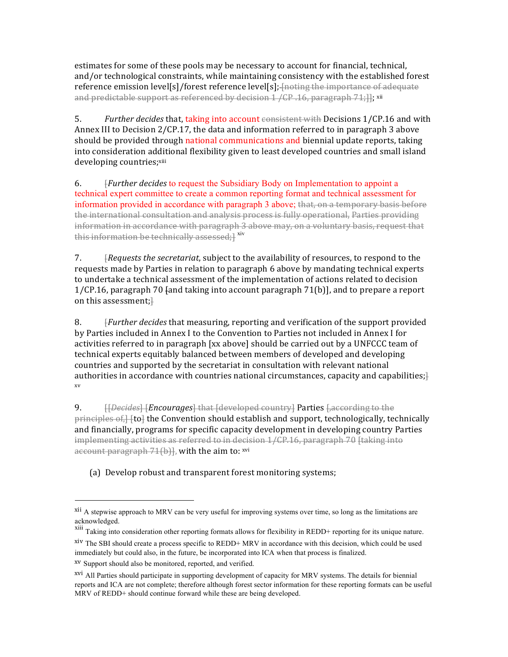estimates for some of these pools may be necessary to account for financial, technical, and/or technological constraints, while maintaining consistency with the established forest reference emission level[s]/forest reference level[s]; [noting the importance of adequate and predictable support as referenced by decision  $1 / CP$ .16, paragraph  $71$ ;]]; xii

5. *Further decides* that, taking into account consistent with Decisions 1/CP.16 and with Annex III to Decision  $2/CP.17$ , the data and information referred to in paragraph 3 above should be provided through national communications and biennial update reports, taking into consideration additional flexibility given to least developed countries and small island developing countries;xiii

6. [*Further decides* to request the Subsidiary Body on Implementation to appoint a technical expert committee to create a common reporting format and technical assessment for information provided in accordance with paragraph 3 above; that, on a temporary basis before the international consultation and analysis process is fully operational, Parties providing information in accordance with paragraph 3 above may, on a voluntary basis, request that this information be technically assessed;<sup>1</sup> xiv

7. *Frequests the secretariat,* subject to the availability of resources, to respond to the requests made by Parties in relation to paragraph 6 above by mandating technical experts to undertake a technical assessment of the implementation of actions related to decision  $1/CP.16$ , paragraph 70 fand taking into account paragraph  $71(b)$ ], and to prepare a report on this assessment; $\}$ 

8. *Further decides* that measuring, reporting and verification of the support provided by Parties included in Annex I to the Convention to Parties not included in Annex I for activities referred to in paragraph [xx above] should be carried out by a UNFCCC team of technical experts equitably balanced between members of developed and developing countries and supported by the secretariat in consultation with relevant national authorities in accordance with countries national circumstances, capacity and capabilities; $\}$ xv

9. **If** *Decides* Hencourages that I developed country Parties Laccording to the  $\overline{p}$ rinciples  $\overline{of}$ ,  $\overline{f}$  to  $\overline{f}$  the Convention should establish and support, technologically, technically and financially, programs for specific capacity development in developing country Parties  $implementing$  activities as referred to in decision  $1/\text{CP}.16$ , paragraph 70 [taking into account paragraph 71(b)], with the aim to: xvi

(a) Develop robust and transparent forest monitoring systems;

<sup>&</sup>lt;sup>xii</sup> A stepwise approach to MRV can be very useful for improving systems over time, so long as the limitations are acknowledged.

xiii Taking into consideration other reporting formats allows for flexibility in REDD+ reporting for its unique nature. xiv The SBI should create a process specific to REDD+ MRV in accordance with this decision, which could be used immediately but could also, in the future, be incorporated into ICA when that process is finalized.

xv Support should also be monitored, reported, and verified.

<sup>&</sup>lt;sup>xvi</sup> All Parties should participate in supporting development of capacity for MRV systems. The details for biennial reports and ICA are not complete; therefore although forest sector information for these reporting formats can be useful MRV of REDD+ should continue forward while these are being developed.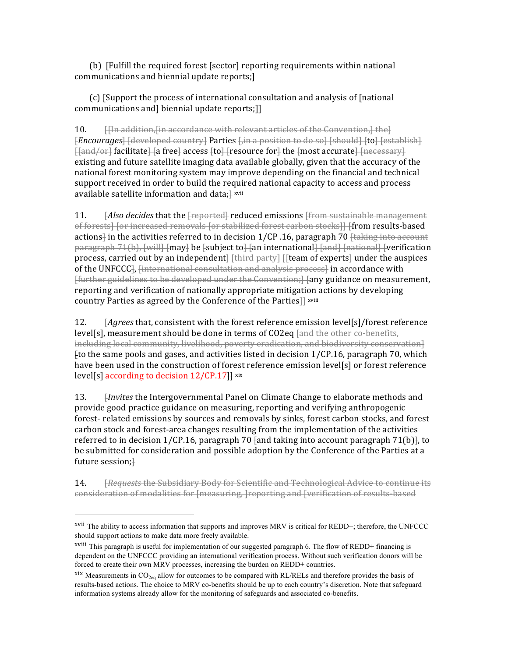(b) [Fulfill the required forest [sector] reporting requirements within national communications and biennial update reports;]

 $(c)$  [Support the process of international consultation and analysis of [national] communications and] biennial update reports;]]

10. **If Hungoldition, In accordance with relevant articles of the Convention, I the l** *[Encourages*] [developed country] Parties [in a position to do so] [should] [to] [establish] [[and/or] facilitate] [a free] access [to] [resource for] the [most accurate] [necessary] existing and future satellite imaging data available globally, given that the accuracy of the national forest monitoring system may improve depending on the financial and technical support received in order to build the required national capacity to access and process available satellite information and data; $\frac{1}{2}$  xvii

11. *Also decides* that the **[**reported] reduced emissions [from sustainable management] of forests] [or increased removals [or stabilized forest carbon stocks]] [from results-based actions<sup>1</sup> in the activities referred to in decision  $1/CP$ .16, paragraph 70 ftaking into account paragraph 71(b), [will] [may] be [subject to] [an international] [and] [national] [verification process, carried out by an independent<del>] [third party] [[</del>team of experts] under the auspices of the UNFCCC<sup>1</sup>, <del>[international consultation and analysis process]</del> in accordance with [further guidelines to be developed under the Convention;] [any guidance on measurement, reporting and verification of nationally appropriate mitigation actions by developing country Parties as agreed by the Conference of the Parties $\frac{1}{11}$  xviii

12. *[Agrees* that, consistent with the forest reference emission level[s]/forest reference  $level[s]$ , measurement should be done in terms of  $CO2eq$   $\frac{1}{[and the other co-benefits]}$ including local community, livelihood, poverty eradication, and biodiversity conservation Ito the same pools and gases, and activities listed in decision  $1/CP.16$ , paragraph 70, which have been used in the construction of forest reference emission level[s] or forest reference level[s] according to decision  $12$ /CP.17H xix

13. *Invites* the Intergovernmental Panel on Climate Change to elaborate methods and provide good practice guidance on measuring, reporting and verifying anthropogenic forest- related emissions by sources and removals by sinks, forest carbon stocks, and forest carbon stock and forest-area changes resulting from the implementation of the activities referred to in decision  $1/CP.16$ , paragraph 70 fand taking into account paragraph 71(b). to be submitted for consideration and possible adoption by the Conference of the Parties at a future session;<sup>1</sup>

14. *Frequests* the Subsidiary Body for Scientific and Technological Advice to continue its consideration of modalities for [measuring, ] reporting and [verification of results-based

xvii The ability to access information that supports and improves MRV is critical for REDD+; therefore, the UNFCCC should support actions to make data more freely available.

xviii This paragraph is useful for implementation of our suggested paragraph 6. The flow of REDD+ financing is dependent on the UNFCCC providing an international verification process. Without such verification donors will be forced to create their own MRV processes, increasing the burden on REDD+ countries.

 $x$ ix Measurements in CO<sub>2eq</sub> allow for outcomes to be compared with RL/RELs and therefore provides the basis of results-based actions. The choice to MRV co-benefits should be up to each country's discretion. Note that safeguard information systems already allow for the monitoring of safeguards and associated co-benefits.